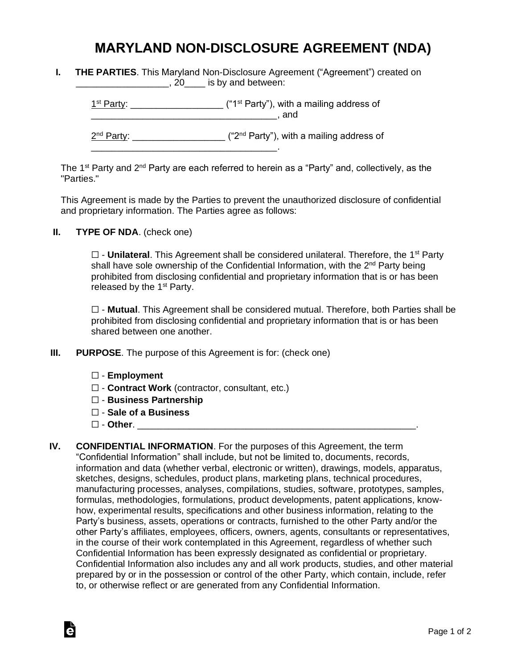## **MARYLAND NON-DISCLOSURE AGREEMENT (NDA)**

**I. THE PARTIES**. This Maryland Non-Disclosure Agreement ("Agreement") created on **\_\_\_\_\_\_\_\_\_\_\_\_\_\_\_\_, 20**\_\_\_\_ is by and between:

 $1<sup>st</sup> Party: _______$  $\blacksquare$  and

2<sup>nd</sup> Party: \_\_\_\_\_\_\_\_\_\_\_\_\_\_\_\_\_\_\_\_ ("2<sup>nd</sup> Party"), with a mailing address of

The 1<sup>st</sup> Party and 2<sup>nd</sup> Party are each referred to herein as a "Party" and, collectively, as the "Parties."

This Agreement is made by the Parties to prevent the unauthorized disclosure of confidential and proprietary information. The Parties agree as follows:

**II. TYPE OF NDA**. (check one)

□ - **Unilateral**. This Agreement shall be considered unilateral. Therefore, the 1<sup>st</sup> Party shall have sole ownership of the Confidential Information, with the 2<sup>nd</sup> Party being prohibited from disclosing confidential and proprietary information that is or has been released by the  $1<sup>st</sup>$  Party.

☐ - **Mutual**. This Agreement shall be considered mutual. Therefore, both Parties shall be prohibited from disclosing confidential and proprietary information that is or has been shared between one another.

**III. PURPOSE**. The purpose of this Agreement is for: (check one)

\_\_\_\_\_\_\_\_\_\_\_\_\_\_\_\_\_\_\_\_\_\_\_\_\_\_\_\_\_\_\_\_\_\_\_\_.

- ☐ **Employment**
- ☐ **Contract Work** (contractor, consultant, etc.)
- ☐ **Business Partnership**
- ☐ **Sale of a Business**
- ☐ **Other**. \_\_\_\_\_\_\_\_\_\_\_\_\_\_\_\_\_\_\_\_\_\_\_\_\_\_\_\_\_\_\_\_\_\_\_\_\_\_\_\_\_\_\_\_\_\_\_\_\_\_\_\_\_\_.

Ġ

**IV. CONFIDENTIAL INFORMATION**. For the purposes of this Agreement, the term "Confidential Information" shall include, but not be limited to, documents, records, information and data (whether verbal, electronic or written), drawings, models, apparatus, sketches, designs, schedules, product plans, marketing plans, technical procedures, manufacturing processes, analyses, compilations, studies, software, prototypes, samples, formulas, methodologies, formulations, product developments, patent applications, knowhow, experimental results, specifications and other business information, relating to the Party's business, assets, operations or contracts, furnished to the other Party and/or the other Party's affiliates, employees, officers, owners, agents, consultants or representatives, in the course of their work contemplated in this Agreement, regardless of whether such Confidential Information has been expressly designated as confidential or proprietary. Confidential Information also includes any and all work products, studies, and other material prepared by or in the possession or control of the other Party, which contain, include, refer to, or otherwise reflect or are generated from any Confidential Information.